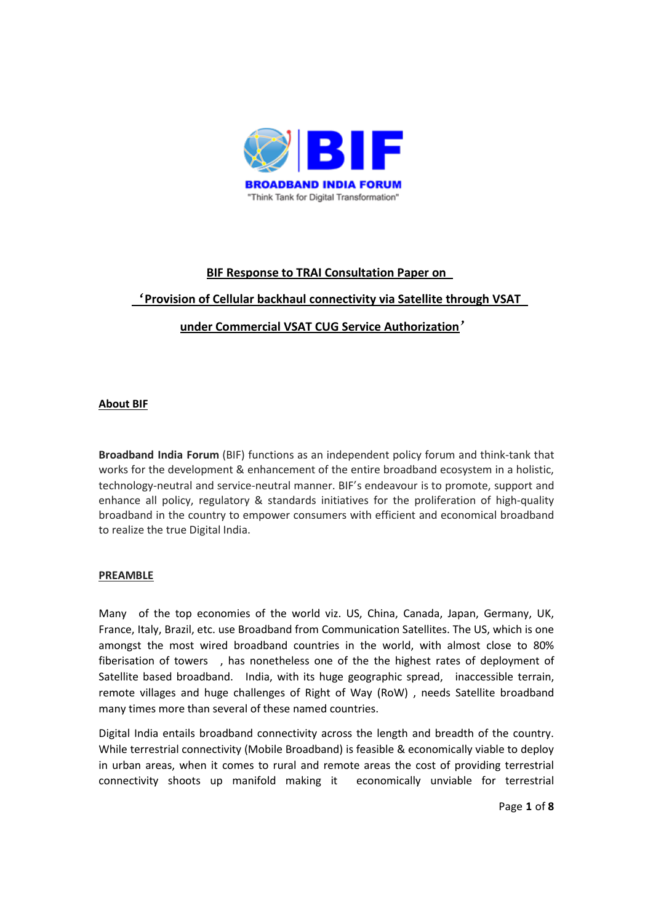

## **BIF Response to TRAI Consultation Paper on**

# '**Provision of Cellular backhaul connectivity via Satellite through VSAT**

# **under Commercial VSAT CUG Service Authorization**'

## **About BIF**

**Broadband India Forum** (BIF) functions as an independent policy forum and think-tank that works for the development & enhancement of the entire broadband ecosystem in a holistic, technology-neutral and service-neutral manner. BIF's endeavour is to promote, support and enhance all policy, regulatory & standards initiatives for the proliferation of high-quality broadband in the country to empower consumers with efficient and economical broadband to realize the true Digital India.

## **PREAMBLE**

Many of the top economies of the world viz. US, China, Canada, Japan, Germany, UK, France, Italy, Brazil, etc. use Broadband from Communication Satellites. The US, which is one amongst the most wired broadband countries in the world, with almost close to 80% fiberisation of towers , has nonetheless one of the the highest rates of deployment of Satellite based broadband. India, with its huge geographic spread, inaccessible terrain, remote villages and huge challenges of Right of Way (RoW) , needs Satellite broadband many times more than several of these named countries.

Digital India entails broadband connectivity across the length and breadth of the country. While terrestrial connectivity (Mobile Broadband) is feasible & economically viable to deploy in urban areas, when it comes to rural and remote areas the cost of providing terrestrial connectivity shoots up manifold making it economically unviable for terrestrial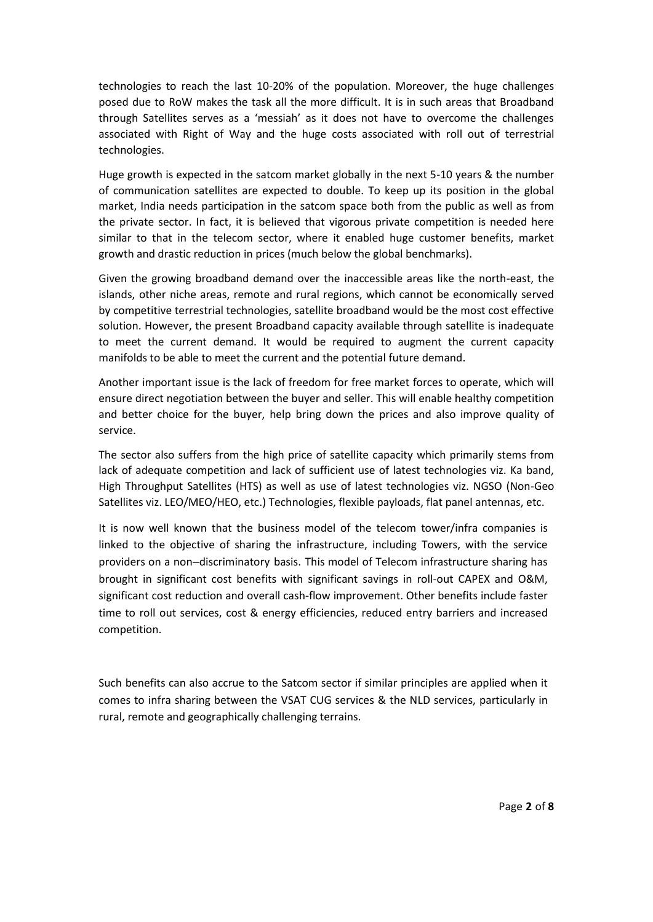technologies to reach the last 10-20% of the population. Moreover, the huge challenges posed due to RoW makes the task all the more difficult. It is in such areas that Broadband through Satellites serves as a 'messiah' as it does not have to overcome the challenges associated with Right of Way and the huge costs associated with roll out of terrestrial technologies.

Huge growth is expected in the satcom market globally in the next 5-10 years & the number of communication satellites are expected to double. To keep up its position in the global market, India needs participation in the satcom space both from the public as well as from the private sector. In fact, it is believed that vigorous private competition is needed here similar to that in the telecom sector, where it enabled huge customer benefits, market growth and drastic reduction in prices (much below the global benchmarks).

Given the growing broadband demand over the inaccessible areas like the north-east, the islands, other niche areas, remote and rural regions, which cannot be economically served by competitive terrestrial technologies, satellite broadband would be the most cost effective solution. However, the present Broadband capacity available through satellite is inadequate to meet the current demand. It would be required to augment the current capacity manifolds to be able to meet the current and the potential future demand.

Another important issue is the lack of freedom for free market forces to operate, which will ensure direct negotiation between the buyer and seller. This will enable healthy competition and better choice for the buyer, help bring down the prices and also improve quality of service.

The sector also suffers from the high price of satellite capacity which primarily stems from lack of adequate competition and lack of sufficient use of latest technologies viz. Ka band, High Throughput Satellites (HTS) as well as use of latest technologies viz. NGSO (Non-Geo Satellites viz. LEO/MEO/HEO, etc.) Technologies, flexible payloads, flat panel antennas, etc.

It is now well known that the business model of the telecom tower/infra companies is linked to the objective of sharing the infrastructure, including Towers, with the service providers on a non–discriminatory basis. This model of Telecom infrastructure sharing has brought in significant cost benefits with significant savings in roll-out CAPEX and O&M, significant cost reduction and overall cash-flow improvement. Other benefits include faster time to roll out services, cost & energy efficiencies, reduced entry barriers and increased competition.

Such benefits can also accrue to the Satcom sector if similar principles are applied when it comes to infra sharing between the VSAT CUG services & the NLD services, particularly in rural, remote and geographically challenging terrains.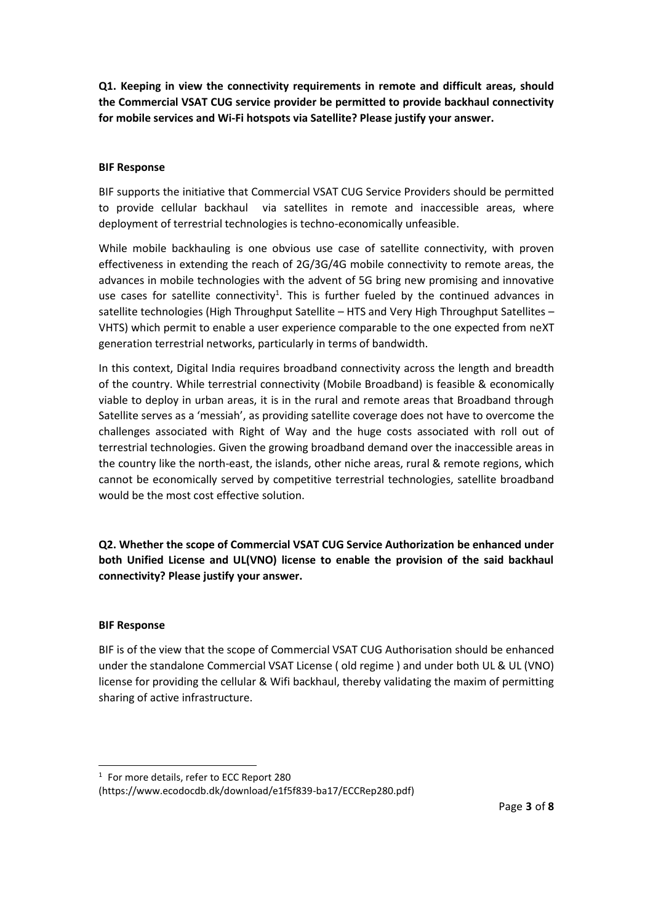**Q1. Keeping in view the connectivity requirements in remote and difficult areas, should the Commercial VSAT CUG service provider be permitted to provide backhaul connectivity for mobile services and Wi-Fi hotspots via Satellite? Please justify your answer.** 

## **BIF Response**

BIF supports the initiative that Commercial VSAT CUG Service Providers should be permitted to provide cellular backhaul via satellites in remote and inaccessible areas, where deployment of terrestrial technologies is techno-economically unfeasible.

While mobile backhauling is one obvious use case of satellite connectivity, with proven effectiveness in extending the reach of 2G/3G/4G mobile connectivity to remote areas, the advances in mobile technologies with the advent of 5G bring new promising and innovative use cases for satellite connectivity<sup>1</sup>. This is further fueled by the continued advances in satellite technologies (High Throughput Satellite – HTS and Very High Throughput Satellites – VHTS) which permit to enable a user experience comparable to the one expected from neXT generation terrestrial networks, particularly in terms of bandwidth.

In this context, Digital India requires broadband connectivity across the length and breadth of the country. While terrestrial connectivity (Mobile Broadband) is feasible & economically viable to deploy in urban areas, it is in the rural and remote areas that Broadband through Satellite serves as a 'messiah', as providing satellite coverage does not have to overcome the challenges associated with Right of Way and the huge costs associated with roll out of terrestrial technologies. Given the growing broadband demand over the inaccessible areas in the country like the north-east, the islands, other niche areas, rural & remote regions, which cannot be economically served by competitive terrestrial technologies, satellite broadband would be the most cost effective solution.

**Q2. Whether the scope of Commercial VSAT CUG Service Authorization be enhanced under both Unified License and UL(VNO) license to enable the provision of the said backhaul connectivity? Please justify your answer.** 

## **BIF Response**

BIF is of the view that the scope of Commercial VSAT CUG Authorisation should be enhanced under the standalone Commercial VSAT License ( old regime ) and under both UL & UL (VNO) license for providing the cellular & Wifi backhaul, thereby validating the maxim of permitting sharing of active infrastructure.

<sup>&</sup>lt;sup>1</sup> For more details, refer to ECC Report 280

<sup>(</sup>https://www.ecodocdb.dk/download/e1f5f839-ba17/ECCRep280.pdf)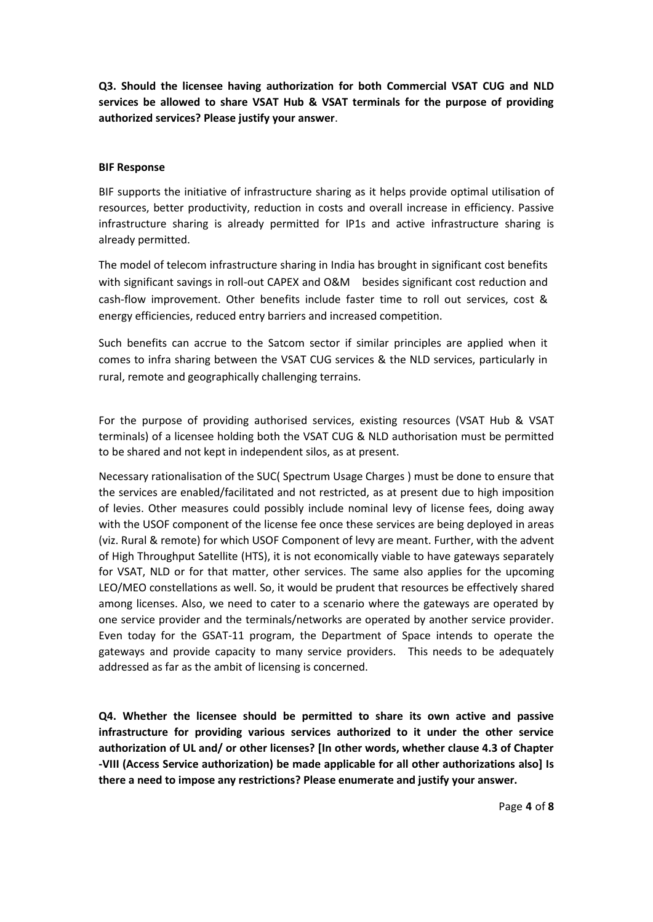**Q3. Should the licensee having authorization for both Commercial VSAT CUG and NLD services be allowed to share VSAT Hub & VSAT terminals for the purpose of providing authorized services? Please justify your answer**.

## **BIF Response**

BIF supports the initiative of infrastructure sharing as it helps provide optimal utilisation of resources, better productivity, reduction in costs and overall increase in efficiency. Passive infrastructure sharing is already permitted for IP1s and active infrastructure sharing is already permitted.

The model of telecom infrastructure sharing in India has brought in significant cost benefits with significant savings in roll-out CAPEX and O&M besides significant cost reduction and cash-flow improvement. Other benefits include faster time to roll out services, cost & energy efficiencies, reduced entry barriers and increased competition.

Such benefits can accrue to the Satcom sector if similar principles are applied when it comes to infra sharing between the VSAT CUG services & the NLD services, particularly in rural, remote and geographically challenging terrains.

For the purpose of providing authorised services, existing resources (VSAT Hub & VSAT terminals) of a licensee holding both the VSAT CUG & NLD authorisation must be permitted to be shared and not kept in independent silos, as at present.

Necessary rationalisation of the SUC( Spectrum Usage Charges ) must be done to ensure that the services are enabled/facilitated and not restricted, as at present due to high imposition of levies. Other measures could possibly include nominal levy of license fees, doing away with the USOF component of the license fee once these services are being deployed in areas (viz. Rural & remote) for which USOF Component of levy are meant. Further, with the advent of High Throughput Satellite (HTS), it is not economically viable to have gateways separately for VSAT, NLD or for that matter, other services. The same also applies for the upcoming LEO/MEO constellations as well. So, it would be prudent that resources be effectively shared among licenses. Also, we need to cater to a scenario where the gateways are operated by one service provider and the terminals/networks are operated by another service provider. Even today for the GSAT-11 program, the Department of Space intends to operate the gateways and provide capacity to many service providers. This needs to be adequately addressed as far as the ambit of licensing is concerned.

**Q4. Whether the licensee should be permitted to share its own active and passive infrastructure for providing various services authorized to it under the other service authorization of UL and/ or other licenses? [In other words, whether clause 4.3 of Chapter -VIII (Access Service authorization) be made applicable for all other authorizations also] Is there a need to impose any restrictions? Please enumerate and justify your answer.**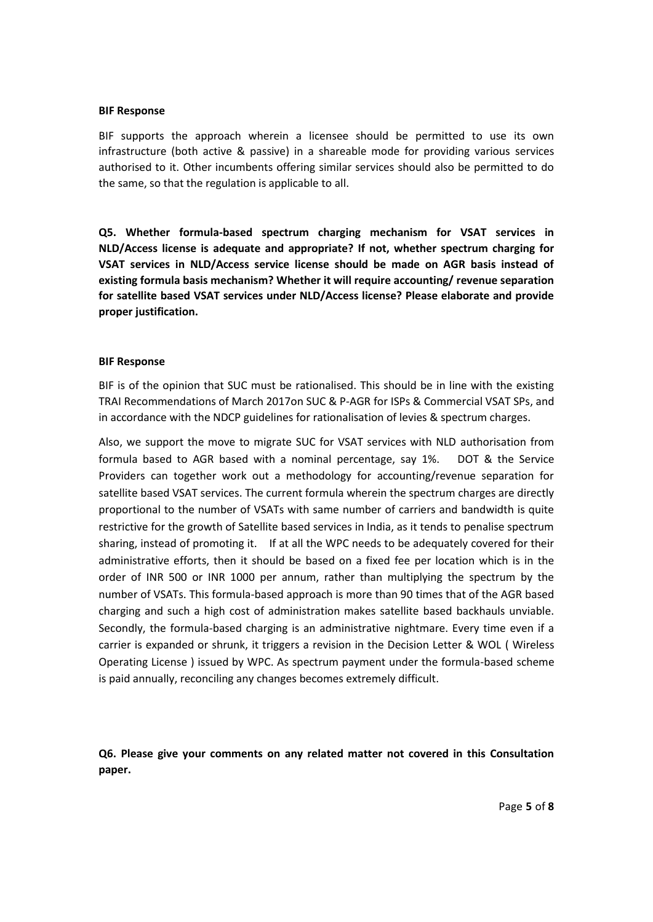#### **BIF Response**

BIF supports the approach wherein a licensee should be permitted to use its own infrastructure (both active & passive) in a shareable mode for providing various services authorised to it. Other incumbents offering similar services should also be permitted to do the same, so that the regulation is applicable to all.

**Q5. Whether formula-based spectrum charging mechanism for VSAT services in NLD/Access license is adequate and appropriate? If not, whether spectrum charging for VSAT services in NLD/Access service license should be made on AGR basis instead of existing formula basis mechanism? Whether it will require accounting/ revenue separation for satellite based VSAT services under NLD/Access license? Please elaborate and provide proper justification.** 

#### **BIF Response**

BIF is of the opinion that SUC must be rationalised. This should be in line with the existing TRAI Recommendations of March 2017on SUC & P-AGR for ISPs & Commercial VSAT SPs, and in accordance with the NDCP guidelines for rationalisation of levies & spectrum charges.

Also, we support the move to migrate SUC for VSAT services with NLD authorisation from formula based to AGR based with a nominal percentage, say 1%. DOT & the Service Providers can together work out a methodology for accounting/revenue separation for satellite based VSAT services. The current formula wherein the spectrum charges are directly proportional to the number of VSATs with same number of carriers and bandwidth is quite restrictive for the growth of Satellite based services in India, as it tends to penalise spectrum sharing, instead of promoting it. If at all the WPC needs to be adequately covered for their administrative efforts, then it should be based on a fixed fee per location which is in the order of INR 500 or INR 1000 per annum, rather than multiplying the spectrum by the number of VSATs. This formula-based approach is more than 90 times that of the AGR based charging and such a high cost of administration makes satellite based backhauls unviable. Secondly, the formula-based charging is an administrative nightmare. Every time even if a carrier is expanded or shrunk, it triggers a revision in the Decision Letter & WOL ( Wireless Operating License ) issued by WPC. As spectrum payment under the formula-based scheme is paid annually, reconciling any changes becomes extremely difficult.

**Q6. Please give your comments on any related matter not covered in this Consultation paper.**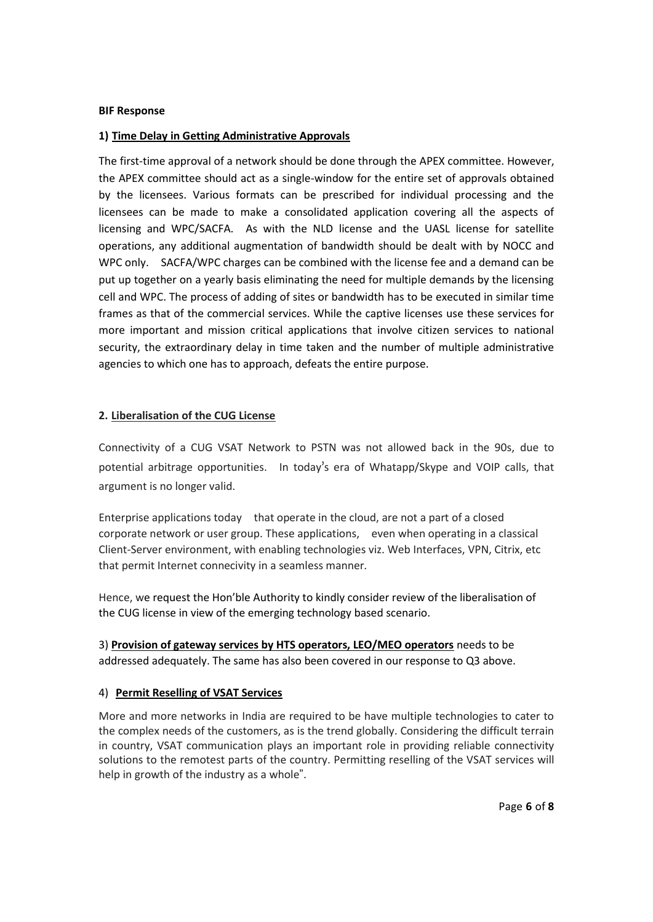#### **BIF Response**

## **1) Time Delay in Getting Administrative Approvals**

The first-time approval of a network should be done through the APEX committee. However, the APEX committee should act as a single-window for the entire set of approvals obtained by the licensees. Various formats can be prescribed for individual processing and the licensees can be made to make a consolidated application covering all the aspects of licensing and WPC/SACFA. As with the NLD license and the UASL license for satellite operations, any additional augmentation of bandwidth should be dealt with by NOCC and WPC only. SACFA/WPC charges can be combined with the license fee and a demand can be put up together on a yearly basis eliminating the need for multiple demands by the licensing cell and WPC. The process of adding of sites or bandwidth has to be executed in similar time frames as that of the commercial services. While the captive licenses use these services for more important and mission critical applications that involve citizen services to national security, the extraordinary delay in time taken and the number of multiple administrative agencies to which one has to approach, defeats the entire purpose.

## **2. Liberalisation of the CUG License**

Connectivity of a CUG VSAT Network to PSTN was not allowed back in the 90s, due to potential arbitrage opportunities. In today's era of Whatapp/Skype and VOIP calls, that argument is no longer valid.

Enterprise applications today that operate in the cloud, are not a part of a closed corporate network or user group. These applications, even when operating in a classical Client-Server environment, with enabling technologies viz. Web Interfaces, VPN, Citrix, etc that permit Internet connecivity in a seamless manner.

Hence, we request the Hon'ble Authority to kindly consider review of the liberalisation of the CUG license in view of the emerging technology based scenario.

3) **Provision of gateway services by HTS operators, LEO/MEO operators** needs to be addressed adequately. The same has also been covered in our response to Q3 above.

## 4) **Permit Reselling of VSAT Services**

More and more networks in India are required to be have multiple technologies to cater to the complex needs of the customers, as is the trend globally. Considering the difficult terrain in country, VSAT communication plays an important role in providing reliable connectivity solutions to the remotest parts of the country. Permitting reselling of the VSAT services will help in growth of the industry as a whole".